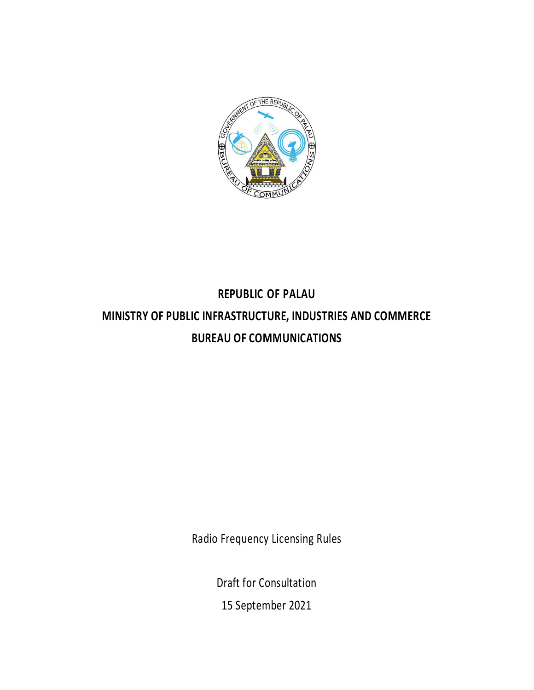

# **REPUBLIC OF PALAU MINISTRY OF PUBLIC INFRASTRUCTURE, INDUSTRIES AND COMMERCE BUREAU OF COMMUNICATIONS**

Radio Frequency Licensing Rules

Draft for Consultation 15 September 2021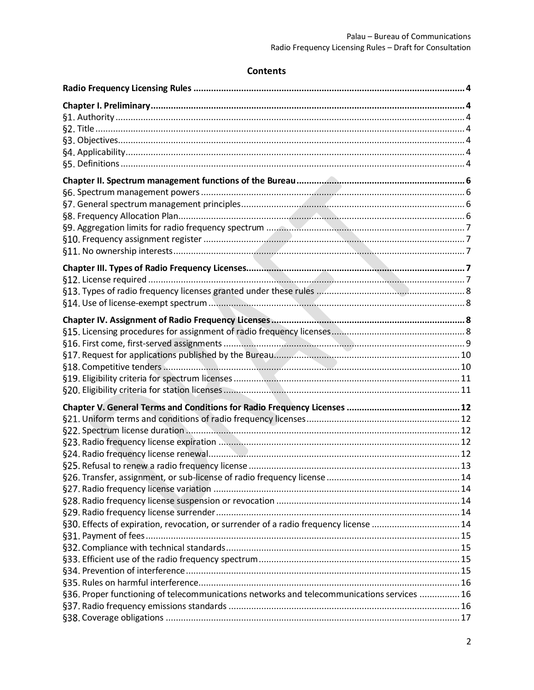## **Contents**

| §30. Effects of expiration, revocation, or surrender of a radio frequency license  14      |  |
|--------------------------------------------------------------------------------------------|--|
|                                                                                            |  |
|                                                                                            |  |
|                                                                                            |  |
|                                                                                            |  |
|                                                                                            |  |
| §36. Proper functioning of telecommunications networks and telecommunications services  16 |  |
|                                                                                            |  |
|                                                                                            |  |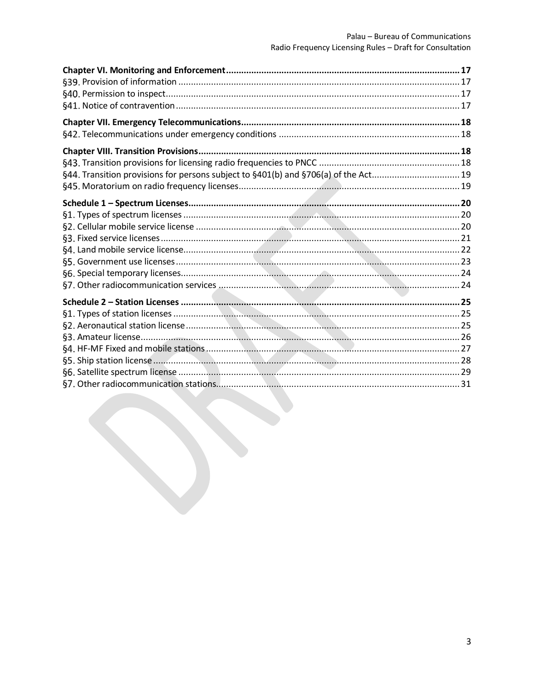| §44. Transition provisions for persons subject to §401(b) and §706(a) of the Act 19 |
|-------------------------------------------------------------------------------------|
|                                                                                     |
|                                                                                     |
|                                                                                     |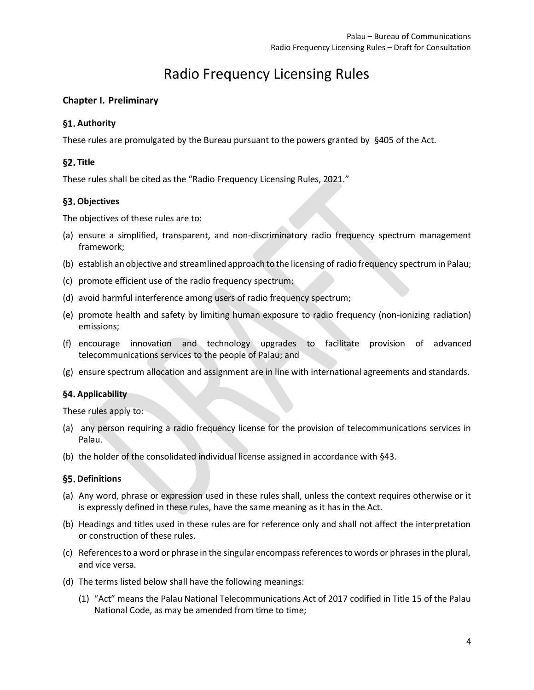## Radio Frequency Licensing Rules

## <span id="page-3-1"></span><span id="page-3-0"></span>**Chapter I. Preliminary**

## <span id="page-3-2"></span>§1. Authority

These rules are promulgated by the Bureau pursuant to the powers granted by §405 of the Act.

## <span id="page-3-3"></span>§2. Title

These rules shall be cited as the "Radio Frequency Licensing Rules, 2021."

## <span id="page-3-4"></span>**Objectives**

The objectives of these rules are to:

- (a) ensure a simplified, transparent, and non-discriminatory radio frequency spectrum management framework;
- (b) establish an objective and streamlined approach to the licensing of radio frequency spectrum in Palau;
- (c) promote efficient use of the radio frequency spectrum;
- (d) avoid harmful interference among users of radio frequency spectrum;
- (e) promote health and safety by limiting human exposure to radio frequency (non-ionizing radiation) emissions;
- (f) encourage innovation and technology upgrades to facilitate provision of advanced telecommunications services to the people of Palau; and
- (g) ensure spectrum allocation and assignment are in line with international agreements and standards.

## <span id="page-3-5"></span>**Applicability**

These rules apply to:

- (a) any person requiring a radio frequency license for the provision of telecommunications services in Palau.
- (b) the holder of the consolidated individual license assigned in accordance with [§43.](#page-17-3)

## <span id="page-3-6"></span>§5. Definitions

- (a) Any word, phrase or expression used in these rules shall, unless the context requires otherwise or it is expressly defined in these rules, have the same meaning as it has in the Act.
- (b) Headings and titles used in these rules are for reference only and shall not affect the interpretation or construction of these rules.
- (c) References to a word or phrase in the singular encompass references to words or phrases in the plural, and vice versa.
- (d) The terms listed below shall have the following meanings:
	- (1) "Act" means the Palau National Telecommunications Act of 2017 codified in Title 15 of the Palau National Code, as may be amended from time to time;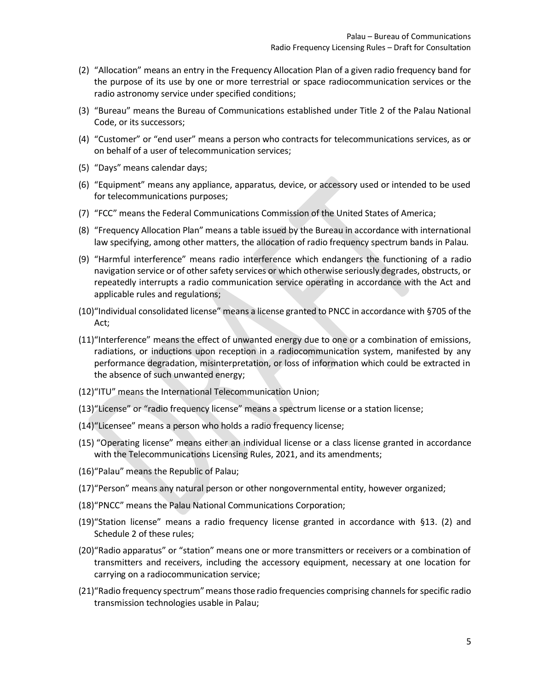- (2) "Allocation" means an entry in the Frequency Allocation Plan of a given radio frequency band for the purpose of its use by one or more terrestrial or space radiocommunication services or the radio astronomy service under specified conditions;
- (3) "Bureau" means the Bureau of Communications established under Title 2 of the Palau National Code, or its successors;
- (4) "Customer" or "end user" means a person who contracts for telecommunications services, as or on behalf of a user of telecommunication services;
- (5) "Days" means calendar days;
- (6) "Equipment" means any appliance, apparatus, device, or accessory used or intended to be used for telecommunications purposes;
- (7) "FCC" means the Federal Communications Commission of the United States of America;
- (8) "Frequency Allocation Plan" means a table issued by the Bureau in accordance with international law specifying, among other matters, the allocation of radio frequency spectrum bands in Palau.
- (9) "Harmful interference" means radio interference which endangers the functioning of a radio navigation service or of other safety services or which otherwise seriously degrades, obstructs, or repeatedly interrupts a radio communication service operating in accordance with the Act and applicable rules and regulations;
- (10)"Individual consolidated license" means a license granted to PNCC in accordance with §705 of the Act;
- (11)"Interference" means the effect of unwanted energy due to one or a combination of emissions, radiations, or inductions upon reception in a radiocommunication system, manifested by any performance degradation, misinterpretation, or loss of information which could be extracted in the absence of such unwanted energy;
- (12)"ITU" means the International Telecommunication Union;
- (13)"License" or "radio frequency license" means a spectrum license or a station license;
- (14)"Licensee" means a person who holds a radio frequency license;
- (15) "Operating license" means either an individual license or a class license granted in accordance with the Telecommunications Licensing Rules, 2021, and its amendments;
- (16)"Palau" means the Republic of Palau;
- (17)"Person" means any natural person or other nongovernmental entity, however organized;
- (18)"PNCC" means the Palau National Communications Corporation;
- (19)"Station license" means a radio frequency license granted in accordance with §13. (2) and Schedule 2 of these rules;
- (20)"Radio apparatus" or "station" means one or more transmitters or receivers or a combination of transmitters and receivers, including the accessory equipment, necessary at one location for carrying on a radiocommunication service;
- (21)"Radio frequency spectrum" means those radio frequencies comprising channels for specific radio transmission technologies usable in Palau;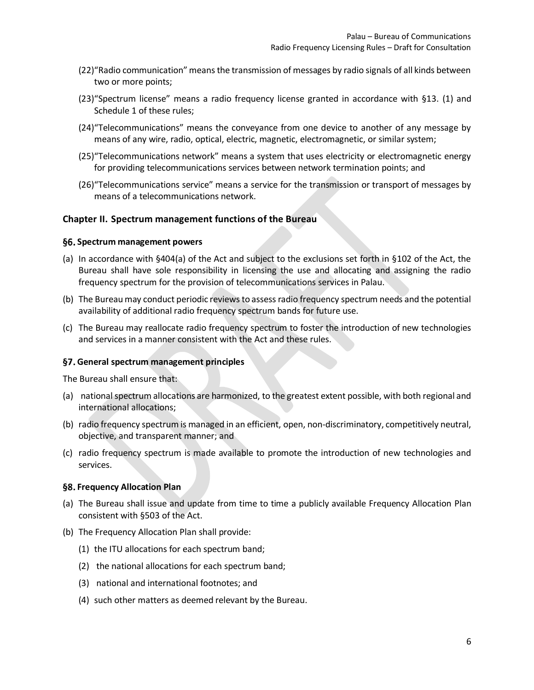- (22)"Radio communication" means the transmission of messages by radio signals of all kinds between two or more points;
- (23)"Spectrum license" means a radio frequency license granted in accordance with §13. (1) and Schedule 1 of these rules;
- (24)"Telecommunications" means the conveyance from one device to another of any message by means of any wire, radio, optical, electric, magnetic, electromagnetic, or similar system;
- (25)"Telecommunications network" means a system that uses electricity or electromagnetic energy for providing telecommunications services between network termination points; and
- (26)"Telecommunications service" means a service for the transmission or transport of messages by means of a telecommunications network.

#### <span id="page-5-0"></span>**Chapter II. Spectrum management functions of the Bureau**

#### <span id="page-5-1"></span>**Spectrum management powers**

- (a) In accordance with §404(a) of the Act and subject to the exclusions set forth in §102 of the Act, the Bureau shall have sole responsibility in licensing the use and allocating and assigning the radio frequency spectrum for the provision of telecommunications services in Palau.
- (b) The Bureau may conduct periodic reviews to assess radio frequency spectrum needs and the potential availability of additional radio frequency spectrum bands for future use.
- (c) The Bureau may reallocate radio frequency spectrum to foster the introduction of new technologies and services in a manner consistent with the Act and these rules.

#### <span id="page-5-2"></span>**General spectrum management principles**

The Bureau shall ensure that:

- (a) national spectrum allocations are harmonized, to the greatest extent possible, with both regional and international allocations;
- (b) radio frequency spectrum is managed in an efficient, open, non-discriminatory, competitively neutral, objective, and transparent manner; and
- (c) radio frequency spectrum is made available to promote the introduction of new technologies and services.

#### <span id="page-5-3"></span>**Frequency Allocation Plan**

- (a) The Bureau shall issue and update from time to time a publicly available Frequency Allocation Plan consistent with §503 of the Act.
- (b) The Frequency Allocation Plan shall provide:
	- (1) the ITU allocations for each spectrum band;
	- (2) the national allocations for each spectrum band;
	- (3) national and international footnotes; and
	- (4) such other matters as deemed relevant by the Bureau.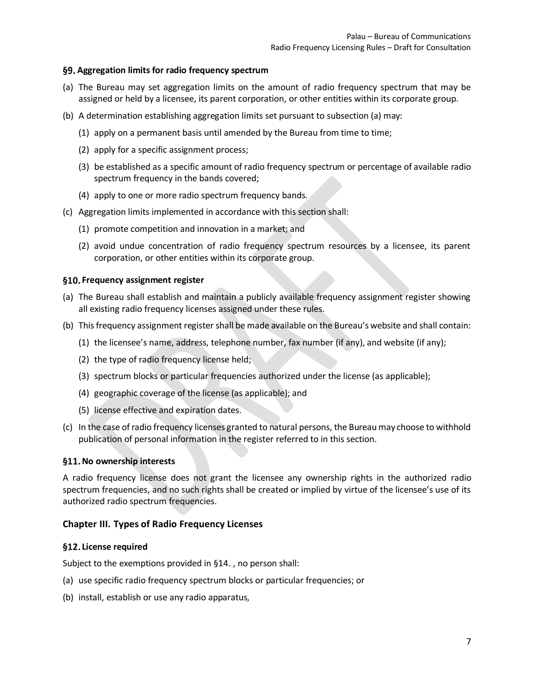#### <span id="page-6-0"></span>**Aggregation limits for radio frequency spectrum**

- (a) The Bureau may set aggregation limits on the amount of radio frequency spectrum that may be assigned or held by a licensee, its parent corporation, or other entities within its corporate group.
- (b) A determination establishing aggregation limits set pursuant to subsection (a) may:
	- (1) apply on a permanent basis until amended by the Bureau from time to time;
	- (2) apply for a specific assignment process;
	- (3) be established as a specific amount of radio frequency spectrum or percentage of available radio spectrum frequency in the bands covered;
	- (4) apply to one or more radio spectrum frequency bands.
- (c) Aggregation limits implemented in accordance with this section shall:
	- (1) promote competition and innovation in a market; and
	- (2) avoid undue concentration of radio frequency spectrum resources by a licensee, its parent corporation, or other entities within its corporate group.

#### <span id="page-6-1"></span>**Frequency assignment register**

- (a) The Bureau shall establish and maintain a publicly available frequency assignment register showing all existing radio frequency licenses assigned under these rules.
- (b) This frequency assignment register shall be made available on the Bureau's website and shall contain:
	- (1) the licensee's name, address, telephone number, fax number (if any), and website (if any);
	- (2) the type of radio frequency license held;
	- (3) spectrum blocks or particular frequencies authorized under the license (as applicable);
	- (4) geographic coverage of the license (as applicable); and
	- (5) license effective and expiration dates.
- (c) In the case of radio frequency licenses granted to natural persons, the Bureaumay choose to withhold publication of personal information in the register referred to in this section.

#### <span id="page-6-2"></span>**No ownership interests**

A radio frequency license does not grant the licensee any ownership rights in the authorized radio spectrum frequencies, and no such rights shall be created or implied by virtue of the licensee's use of its authorized radio spectrum frequencies.

#### <span id="page-6-3"></span>**Chapter III. Types of Radio Frequency Licenses**

#### <span id="page-6-4"></span>**License required**

Subject to the exemptions provided in §14. , no person shall:

- (a) use specific radio frequency spectrum blocks or particular frequencies; or
- (b) install, establish or use any radio apparatus,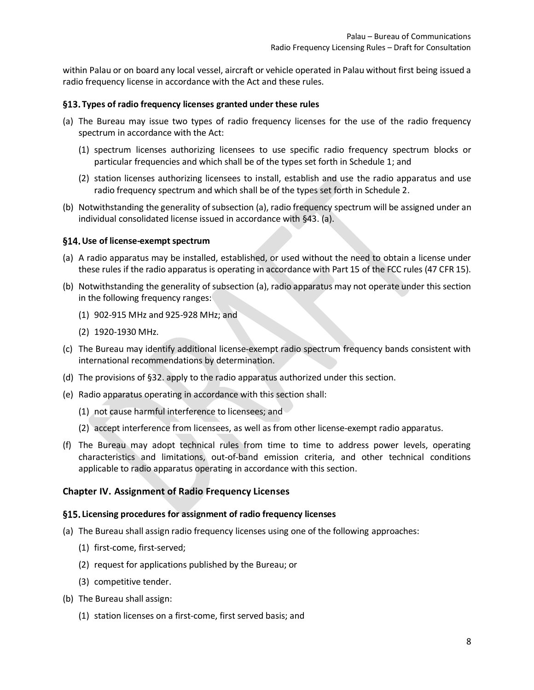within Palau or on board any local vessel, aircraft or vehicle operated in Palau without first being issued a radio frequency license in accordance with the Act and these rules.

#### <span id="page-7-0"></span>**Types of radio frequency licenses granted under these rules**

- <span id="page-7-4"></span>(a) The Bureau may issue two types of radio frequency licenses for the use of the radio frequency spectrum in accordance with the Act:
	- (1) spectrum licenses authorizing licensees to use specific radio frequency spectrum blocks or particular frequencies and which shall be of the types set forth in Schedule 1; and
	- (2) station licenses authorizing licensees to install, establish and use the radio apparatus and use radio frequency spectrum and which shall be of the types set forth in Schedule 2.
- (b) Notwithstanding the generality of subsectio[n \(a\),](#page-7-4) radio frequency spectrum will be assigned under an individual consolidated license issued in accordance wit[h §43. \(a\).](#page-17-3)

#### <span id="page-7-1"></span>**Use of license-exempt spectrum**

- (a) A radio apparatus may be installed, established, or used without the need to obtain a license under these rules if the radio apparatus is operating in accordance with Part 15 of the FCC rules (47 CFR 15).
- (b) Notwithstanding the generality of subsection (a), radio apparatus may not operate under this section in the following frequency ranges:
	- (1) 902-915 MHz and 925-928 MHz; and
	- (2) 1920-1930 MHz.
- (c) The Bureau may identify additional license-exempt radio spectrum frequency bands consistent with international recommendations by determination.
- (d) The provisions of §32. apply to the radio apparatus authorized under this section.
- (e) Radio apparatus operating in accordance with this section shall:
	- (1) not cause harmful interference to licensees; and
	- (2) accept interference from licensees, as well as from other license-exempt radio apparatus.
- (f) The Bureau may adopt technical rules from time to time to address power levels, operating characteristics and limitations, out-of-band emission criteria, and other technical conditions applicable to radio apparatus operating in accordance with this section.

#### <span id="page-7-2"></span>**Chapter IV. Assignment of Radio Frequency Licenses**

#### <span id="page-7-3"></span>**Licensing procedures for assignment of radio frequency licenses**

- (a) The Bureau shall assign radio frequency licenses using one of the following approaches:
	- (1) first-come, first-served;
	- (2) request for applications published by the Bureau; or
	- (3) competitive tender.
- (b) The Bureau shall assign:
	- (1) station licenses on a first-come, first served basis; and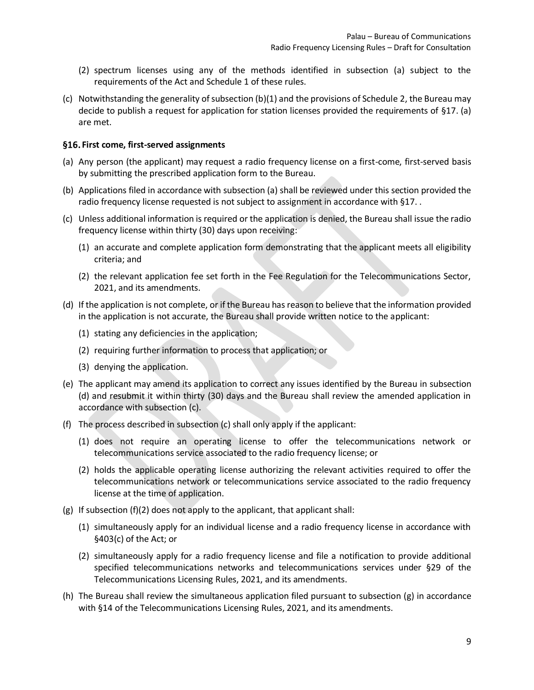- (2) spectrum licenses using any of the methods identified in subsection (a) subject to the requirements of the Act and Schedule 1 of these rules.
- (c) Notwithstanding the generality of subsection (b)(1) and the provisions of Schedule 2, the Bureau may decide to publish a request for application for station licenses provided the requirements of §17. (a) are met.

#### <span id="page-8-0"></span>**First come, first-served assignments**

- (a) Any person (the applicant) may request a radio frequency license on a first-come, first-served basis by submitting the prescribed application form to the Bureau.
- (b) Applications filed in accordance with subsection (a) shall be reviewed under this section provided the radio frequency license requested is not subject to assignment in accordance with §17.
- (c) Unless additional information is required or the application is denied, the Bureau shall issue the radio frequency license within thirty (30) days upon receiving:
	- (1) an accurate and complete application form demonstrating that the applicant meets all eligibility criteria; and
	- (2) the relevant application fee set forth in the Fee Regulation for the Telecommunications Sector, 2021, and its amendments.
- (d) If the application is not complete, or if the Bureau has reason to believe that the information provided in the application is not accurate, the Bureau shall provide written notice to the applicant:
	- (1) stating any deficiencies in the application;
	- (2) requiring further information to process that application; or
	- (3) denying the application.
- (e) The applicant may amend its application to correct any issues identified by the Bureau in subsection (d) and resubmit it within thirty (30) days and the Bureau shall review the amended application in accordance with subsection (c).
- <span id="page-8-1"></span>(f) The process described in subsection (c) shall only apply if the applicant:
	- (1) does not require an operating license to offer the telecommunications network or telecommunications service associated to the radio frequency license; or
	- (2) holds the applicable operating license authorizing the relevant activities required to offer the telecommunications network or telecommunications service associated to the radio frequency license at the time of application.
- (g) If subsection [\(f\)\(2\)](#page-8-1) does not apply to the applicant, that applicant shall:
	- (1) simultaneously apply for an individual license and a radio frequency license in accordance with §403(c) of the Act; or
	- (2) simultaneously apply for a radio frequency license and file a notification to provide additional specified telecommunications networks and telecommunications services under §29 of the Telecommunications Licensing Rules, 2021, and its amendments.
- (h) The Bureau shall review the simultaneous application filed pursuant to subsection (g) in accordance with §14 of the Telecommunications Licensing Rules, 2021, and its amendments.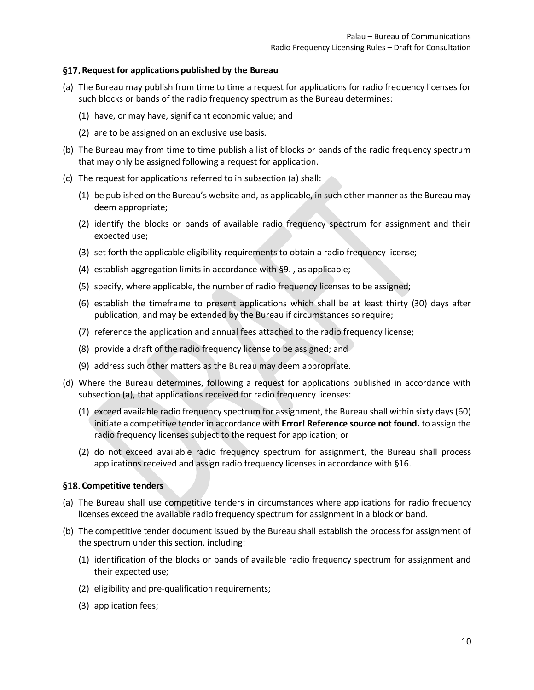#### <span id="page-9-0"></span>**Request for applications published by the Bureau**

- (a) The Bureau may publish from time to time a request for applications for radio frequency licenses for such blocks or bands of the radio frequency spectrum as the Bureau determines:
	- (1) have, or may have, significant economic value; and
	- (2) are to be assigned on an exclusive use basis.
- (b) The Bureau may from time to time publish a list of blocks or bands of the radio frequency spectrum that may only be assigned following a request for application.
- (c) The request for applications referred to in subsection (a) shall:
	- (1) be published on the Bureau's website and, as applicable, in such other manner as the Bureau may deem appropriate;
	- (2) identify the blocks or bands of available radio frequency spectrum for assignment and their expected use;
	- (3) set forth the applicable eligibility requirements to obtain a radio frequency license;
	- (4) establish aggregation limits in accordance with §9. , as applicable;
	- (5) specify, where applicable, the number of radio frequency licenses to be assigned;
	- (6) establish the timeframe to present applications which shall be at least thirty (30) days after publication, and may be extended by the Bureau if circumstances so require;
	- (7) reference the application and annual fees attached to the radio frequency license;
	- (8) provide a draft of the radio frequency license to be assigned; and
	- (9) address such other matters as the Bureau may deem appropriate.
- (d) Where the Bureau determines, following a request for applications published in accordance with subsection (a), that applications received for radio frequency licenses:
	- (1) exceed available radio frequency spectrum for assignment, the Bureau shall within sixty days (60) initiate a competitive tender in accordance with **Error! Reference source not found.** to assign the radio frequency licenses subject to the request for application; or
	- (2) do not exceed available radio frequency spectrum for assignment, the Bureau shall process applications received and assign radio frequency licenses in accordance with §16.

#### <span id="page-9-1"></span>§18. Competitive tenders

- (a) The Bureau shall use competitive tenders in circumstances where applications for radio frequency licenses exceed the available radio frequency spectrum for assignment in a block or band.
- (b) The competitive tender document issued by the Bureau shall establish the process for assignment of the spectrum under this section, including:
	- (1) identification of the blocks or bands of available radio frequency spectrum for assignment and their expected use;
	- (2) eligibility and pre-qualification requirements;
	- (3) application fees;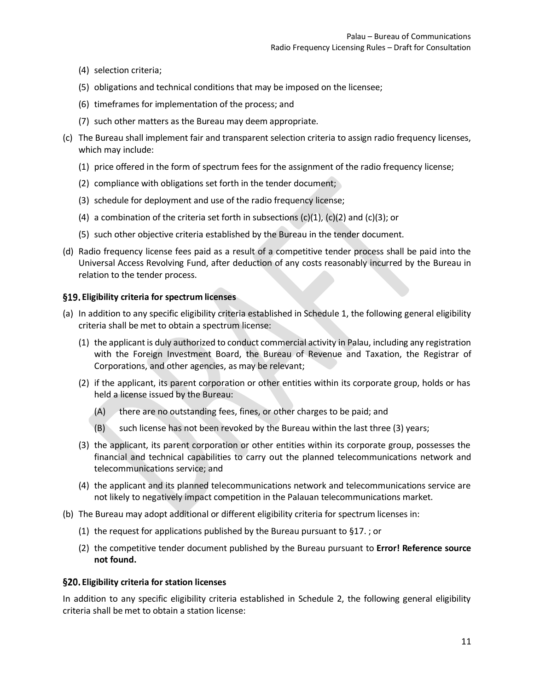- (4) selection criteria;
- (5) obligations and technical conditions that may be imposed on the licensee;
- (6) timeframes for implementation of the process; and
- (7) such other matters as the Bureau may deem appropriate.
- (c) The Bureau shall implement fair and transparent selection criteria to assign radio frequency licenses, which may include:
	- (1) price offered in the form of spectrum fees for the assignment of the radio frequency license;
	- (2) compliance with obligations set forth in the tender document;
	- (3) schedule for deployment and use of the radio frequency license;
	- (4) a combination of the criteria set forth in subsections  $(c)(1)$ ,  $(c)(2)$  and  $(c)(3)$ ; or
	- (5) such other objective criteria established by the Bureau in the tender document.
- (d) Radio frequency license fees paid as a result of a competitive tender process shall be paid into the Universal Access Revolving Fund, after deduction of any costs reasonably incurred by the Bureau in relation to the tender process.

#### <span id="page-10-0"></span>**Eligibility criteria for spectrum licenses**

- (a) In addition to any specific eligibility criteria established in Schedule 1, the following general eligibility criteria shall be met to obtain a spectrum license:
	- (1) the applicant is duly authorized to conduct commercial activity in Palau, including any registration with the Foreign Investment Board, the Bureau of Revenue and Taxation, the Registrar of Corporations, and other agencies, as may be relevant;
	- (2) if the applicant, its parent corporation or other entities within its corporate group, holds or has held a license issued by the Bureau:
		- (A) there are no outstanding fees, fines, or other charges to be paid; and
		- (B) such license has not been revoked by the Bureau within the last three (3) years;
	- (3) the applicant, its parent corporation or other entities within its corporate group, possesses the financial and technical capabilities to carry out the planned telecommunications network and telecommunications service; and
	- (4) the applicant and its planned telecommunications network and telecommunications service are not likely to negatively impact competition in the Palauan telecommunications market.
- (b) The Bureau may adopt additional or different eligibility criteria for spectrum licenses in:
	- (1) the request for applications published by the Bureau pursuant to §17. ; or
	- (2) the competitive tender document published by the Bureau pursuant to **Error! Reference source not found.**

#### <span id="page-10-1"></span>**Eligibility criteria for station licenses**

In addition to any specific eligibility criteria established in Schedule 2, the following general eligibility criteria shall be met to obtain a station license: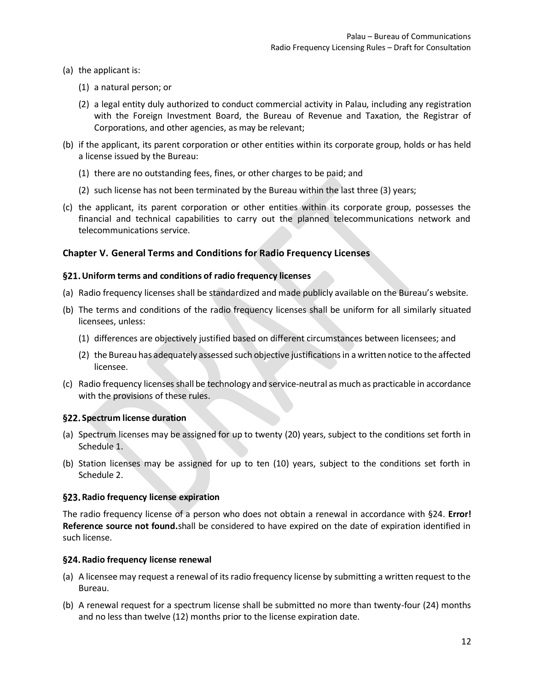- (a) the applicant is:
	- (1) a natural person; or
	- (2) a legal entity duly authorized to conduct commercial activity in Palau, including any registration with the Foreign Investment Board, the Bureau of Revenue and Taxation, the Registrar of Corporations, and other agencies, as may be relevant;
- (b) if the applicant, its parent corporation or other entities within its corporate group, holds or has held a license issued by the Bureau:
	- (1) there are no outstanding fees, fines, or other charges to be paid; and
	- (2) such license has not been terminated by the Bureau within the last three (3) years;
- (c) the applicant, its parent corporation or other entities within its corporate group, possesses the financial and technical capabilities to carry out the planned telecommunications network and telecommunications service.

#### <span id="page-11-0"></span>**Chapter V. General Terms and Conditions for Radio Frequency Licenses**

#### <span id="page-11-1"></span>**Uniform terms and conditions of radio frequency licenses**

- (a) Radio frequency licenses shall be standardized and made publicly available on the Bureau's website.
- (b) The terms and conditions of the radio frequency licenses shall be uniform for all similarly situated licensees, unless:
	- (1) differences are objectively justified based on different circumstances between licensees; and
	- (2) the Bureau has adequately assessed such objective justifications in a written notice to the affected licensee.
- (c) Radio frequency licenses shall be technology and service-neutral as much as practicable in accordance with the provisions of these rules.

#### <span id="page-11-2"></span>**Spectrum license duration**

- (a) Spectrum licenses may be assigned for up to twenty (20) years, subject to the conditions set forth in Schedule 1.
- (b) Station licenses may be assigned for up to ten (10) years, subject to the conditions set forth in Schedule 2.

#### <span id="page-11-3"></span>**Radio frequency license expiration**

The radio frequency license of a person who does not obtain a renewal in accordance with §24. **Error! Reference source not found.**shall be considered to have expired on the date of expiration identified in such license.

#### <span id="page-11-4"></span>**Radio frequency license renewal**

- (a) A licensee may request a renewal of its radio frequency license by submitting a written request to the Bureau.
- (b) A renewal request for a spectrum license shall be submitted no more than twenty-four (24) months and no less than twelve (12) months prior to the license expiration date.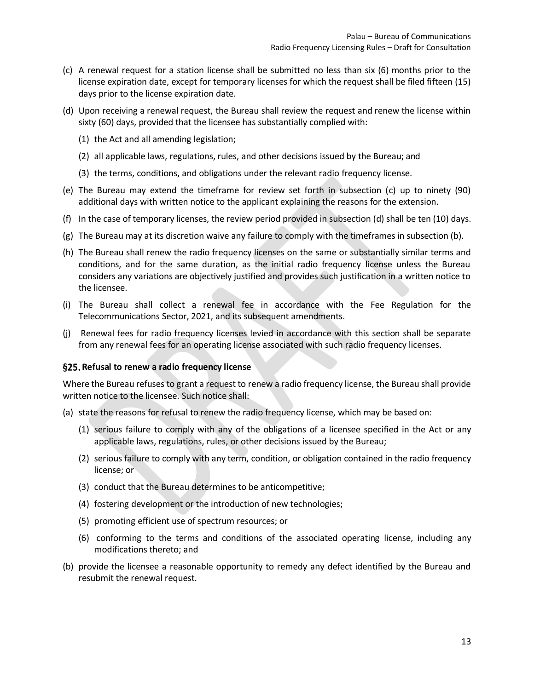- (c) A renewal request for a station license shall be submitted no less than six (6) months prior to the license expiration date, except for temporary licenses for which the request shall be filed fifteen (15) days prior to the license expiration date.
- (d) Upon receiving a renewal request, the Bureau shall review the request and renew the license within sixty (60) days, provided that the licensee has substantially complied with:
	- (1) the Act and all amending legislation;
	- (2) all applicable laws, regulations, rules, and other decisions issued by the Bureau; and
	- (3) the terms, conditions, and obligations under the relevant radio frequency license.
- (e) The Bureau may extend the timeframe for review set forth in subsection (c) up to ninety (90) additional days with written notice to the applicant explaining the reasons for the extension.
- (f) In the case of temporary licenses, the review period provided in subsection (d) shall be ten (10) days.
- (g) The Bureau may at its discretion waive any failure to comply with the timeframes in subsection (b).
- (h) The Bureau shall renew the radio frequency licenses on the same or substantially similar terms and conditions, and for the same duration, as the initial radio frequency license unless the Bureau considers any variations are objectively justified and provides such justification in a written notice to the licensee.
- (i) The Bureau shall collect a renewal fee in accordance with the Fee Regulation for the Telecommunications Sector, 2021, and its subsequent amendments.
- (j) Renewal fees for radio frequency licenses levied in accordance with this section shall be separate from any renewal fees for an operating license associated with such radio frequency licenses.

#### <span id="page-12-0"></span>**Refusal to renew a radio frequency license**

Where the Bureau refuses to grant a request to renew a radio frequency license, the Bureau shall provide written notice to the licensee. Such notice shall:

- (a) state the reasons for refusal to renew the radio frequency license, which may be based on:
	- (1) serious failure to comply with any of the obligations of a licensee specified in the Act or any applicable laws, regulations, rules, or other decisions issued by the Bureau;
	- (2) serious failure to comply with any term, condition, or obligation contained in the radio frequency license; or
	- (3) conduct that the Bureau determines to be anticompetitive;
	- (4) fostering development or the introduction of new technologies;
	- (5) promoting efficient use of spectrum resources; or
	- (6) conforming to the terms and conditions of the associated operating license, including any modifications thereto; and
- (b) provide the licensee a reasonable opportunity to remedy any defect identified by the Bureau and resubmit the renewal request.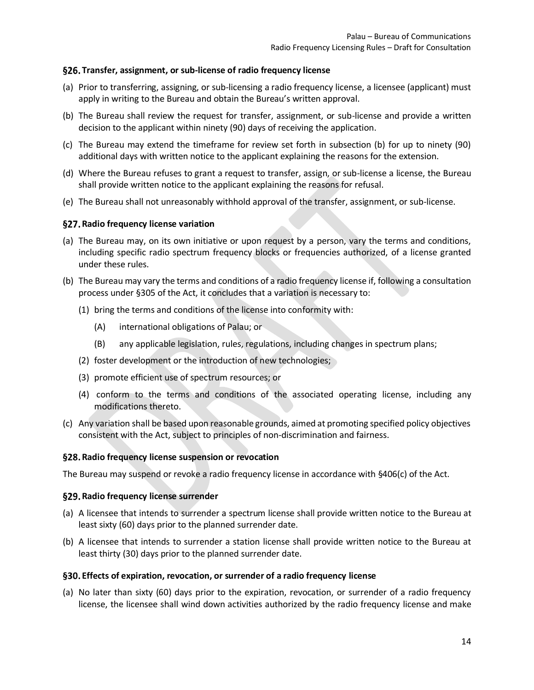#### <span id="page-13-0"></span>**Transfer, assignment, or sub-license of radio frequency license**

- (a) Prior to transferring, assigning, or sub-licensing a radio frequency license, a licensee (applicant) must apply in writing to the Bureau and obtain the Bureau's written approval.
- (b) The Bureau shall review the request for transfer, assignment, or sub-license and provide a written decision to the applicant within ninety (90) days of receiving the application.
- (c) The Bureau may extend the timeframe for review set forth in subsection (b) for up to ninety (90) additional days with written notice to the applicant explaining the reasons for the extension.
- (d) Where the Bureau refuses to grant a request to transfer, assign, or sub-license a license, the Bureau shall provide written notice to the applicant explaining the reasons for refusal.
- (e) The Bureau shall not unreasonably withhold approval of the transfer, assignment, or sub-license.

#### <span id="page-13-1"></span>**Radio frequency license variation**

- (a) The Bureau may, on its own initiative or upon request by a person, vary the terms and conditions, including specific radio spectrum frequency blocks or frequencies authorized, of a license granted under these rules.
- (b) The Bureau may vary the terms and conditions of a radio frequency license if, following a consultation process under §305 of the Act, it concludes that a variation is necessary to:
	- (1) bring the terms and conditions of the license into conformity with:
		- (A) international obligations of Palau; or
		- (B) any applicable legislation, rules, regulations, including changes in spectrum plans;
	- (2) foster development or the introduction of new technologies;
	- (3) promote efficient use of spectrum resources; or
	- (4) conform to the terms and conditions of the associated operating license, including any modifications thereto.
- (c) Any variation shall be based upon reasonable grounds, aimed at promoting specified policy objectives consistent with the Act, subject to principles of non-discrimination and fairness.

#### <span id="page-13-2"></span>**Radio frequency license suspension or revocation**

The Bureau may suspend or revoke a radio frequency license in accordance with §406(c) of the Act.

#### <span id="page-13-3"></span>**Radio frequency license surrender**

- (a) A licensee that intends to surrender a spectrum license shall provide written notice to the Bureau at least sixty (60) days prior to the planned surrender date.
- (b) A licensee that intends to surrender a station license shall provide written notice to the Bureau at least thirty (30) days prior to the planned surrender date.

#### <span id="page-13-4"></span>**Effects of expiration, revocation, or surrender of a radio frequency license**

(a) No later than sixty (60) days prior to the expiration, revocation, or surrender of a radio frequency license, the licensee shall wind down activities authorized by the radio frequency license and make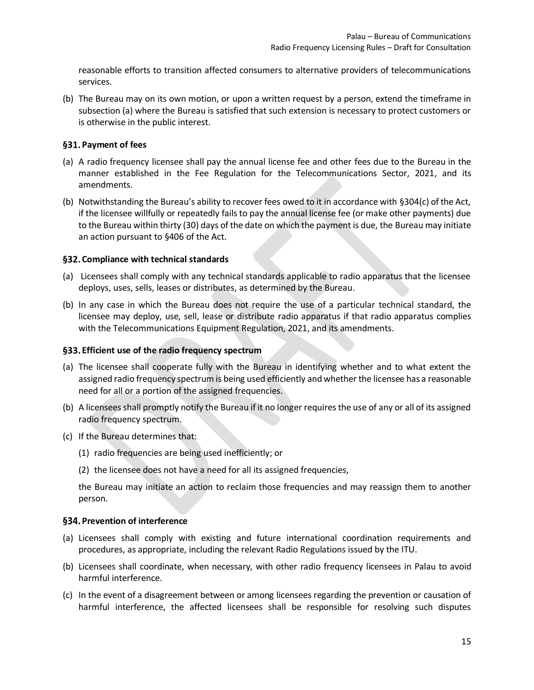reasonable efforts to transition affected consumers to alternative providers of telecommunications services.

(b) The Bureau may on its own motion, or upon a written request by a person, extend the timeframe in subsection (a) where the Bureau is satisfied that such extension is necessary to protect customers or is otherwise in the public interest.

#### <span id="page-14-0"></span>**Payment of fees**

- (a) A radio frequency licensee shall pay the annual license fee and other fees due to the Bureau in the manner established in the Fee Regulation for the Telecommunications Sector, 2021, and its amendments.
- (b) Notwithstanding the Bureau's ability to recover fees owed to it in accordance with §304(c) of the Act, if the licensee willfully or repeatedly fails to pay the annual license fee (or make other payments) due to the Bureau within thirty (30) days of the date on which the payment is due, the Bureau may initiate an action pursuant to §406 of the Act.

#### <span id="page-14-1"></span>**Compliance with technical standards**

- (a) Licensees shall comply with any technical standards applicable to radio apparatus that the licensee deploys, uses, sells, leases or distributes, as determined by the Bureau.
- (b) In any case in which the Bureau does not require the use of a particular technical standard, the licensee may deploy, use, sell, lease or distribute radio apparatus if that radio apparatus complies with the Telecommunications Equipment Regulation, 2021, and its amendments.

#### <span id="page-14-2"></span>**Efficient use of the radio frequency spectrum**

- (a) The licensee shall cooperate fully with the Bureau in identifying whether and to what extent the assigned radio frequency spectrum is being used efficiently and whether the licensee has a reasonable need for all or a portion of the assigned frequencies.
- (b) A licensees shall promptly notify the Bureau if it no longer requires the use of any or all of its assigned radio frequency spectrum.
- (c) If the Bureau determines that:
	- (1) radio frequencies are being used inefficiently; or
	- (2) the licensee does not have a need for all its assigned frequencies,

the Bureau may initiate an action to reclaim those frequencies and may reassign them to another person.

#### <span id="page-14-3"></span>**Prevention of interference**

- (a) Licensees shall comply with existing and future international coordination requirements and procedures, as appropriate, including the relevant Radio Regulations issued by the ITU.
- (b) Licensees shall coordinate, when necessary, with other radio frequency licensees in Palau to avoid harmful interference.
- (c) In the event of a disagreement between or among licensees regarding the prevention or causation of harmful interference, the affected licensees shall be responsible for resolving such disputes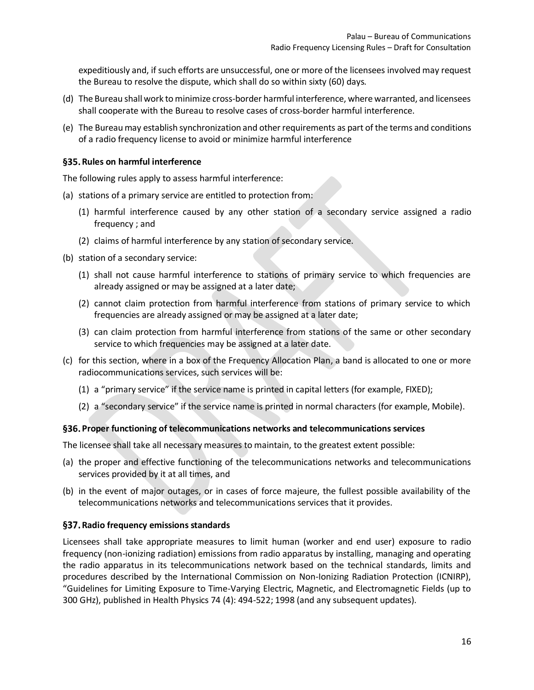expeditiously and, if such efforts are unsuccessful, one or more of the licensees involved may request the Bureau to resolve the dispute, which shall do so within sixty (60) days.

- (d) The Bureau shall work to minimize cross-border harmful interference, where warranted, and licensees shall cooperate with the Bureau to resolve cases of cross-border harmful interference.
- (e) The Bureaumay establish synchronization and other requirements as part of the terms and conditions of a radio frequency license to avoid or minimize harmful interference

#### <span id="page-15-0"></span>§35. Rules on harmful interference

The following rules apply to assess harmful interference:

- (a) stations of a primary service are entitled to protection from:
	- (1) harmful interference caused by any other station of a secondary service assigned a radio frequency ; and
	- (2) claims of harmful interference by any station of secondary service.
- (b) station of a secondary service:
	- (1) shall not cause harmful interference to stations of primary service to which frequencies are already assigned or may be assigned at a later date;
	- (2) cannot claim protection from harmful interference from stations of primary service to which frequencies are already assigned or may be assigned at a later date;
	- (3) can claim protection from harmful interference from stations of the same or other secondary service to which frequencies may be assigned at a later date.
- (c) for this section, where in a box of the Frequency Allocation Plan, a band is allocated to one or more radiocommunications services, such services will be:
	- (1) a "primary service" if the service name is printed in capital letters (for example, FIXED);
	- (2) a "secondary service" if the service name is printed in normal characters (for example, Mobile).

#### <span id="page-15-1"></span>**Proper functioning of telecommunications networks and telecommunications services**

The licensee shall take all necessary measures to maintain, to the greatest extent possible:

- (a) the proper and effective functioning of the telecommunications networks and telecommunications services provided by it at all times, and
- (b) in the event of major outages, or in cases of force majeure, the fullest possible availability of the telecommunications networks and telecommunications services that it provides.

#### <span id="page-15-2"></span>**Radio frequency emissions standards**

Licensees shall take appropriate measures to limit human (worker and end user) exposure to radio frequency (non-ionizing radiation) emissions from radio apparatus by installing, managing and operating the radio apparatus in its telecommunications network based on the technical standards, limits and procedures described by the International Commission on Non-Ionizing Radiation Protection (ICNIRP), "Guidelines for Limiting Exposure to Time-Varying Electric, Magnetic, and Electromagnetic Fields (up to 300 GHz), published in Health Physics 74 (4): 494-522; 1998 (and any subsequent updates).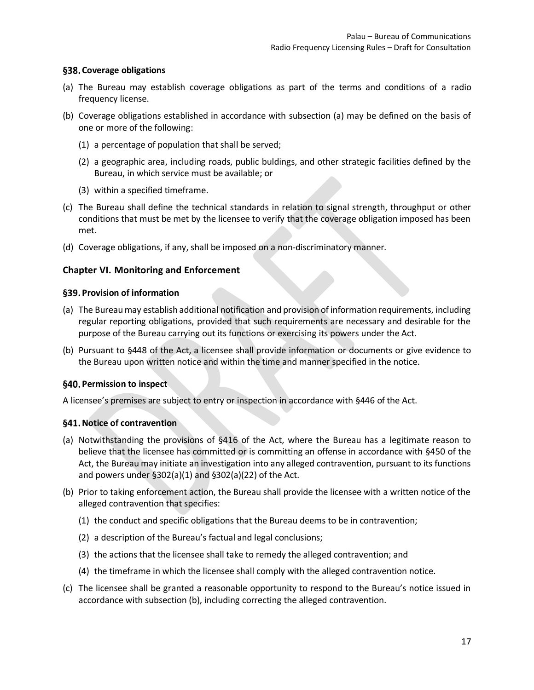#### <span id="page-16-0"></span>**Coverage obligations**

- (a) The Bureau may establish coverage obligations as part of the terms and conditions of a radio frequency license.
- (b) Coverage obligations established in accordance with subsection (a) may be defined on the basis of one or more of the following:
	- (1) a percentage of population that shall be served;
	- (2) a geographic area, including roads, public buldings, and other strategic facilities defined by the Bureau, in which service must be available; or
	- (3) within a specified timeframe.
- (c) The Bureau shall define the technical standards in relation to signal strength, throughput or other conditions that must be met by the licensee to verify that the coverage obligation imposed has been met.
- (d) Coverage obligations, if any, shall be imposed on a non-discriminatory manner.

## <span id="page-16-1"></span>**Chapter VI. Monitoring and Enforcement**

## <span id="page-16-2"></span>**Provision of information**

- (a) The Bureau may establish additional notification and provision of information requirements, including regular reporting obligations, provided that such requirements are necessary and desirable for the purpose of the Bureau carrying out its functions or exercising its powers under the Act.
- (b) Pursuant to §448 of the Act, a licensee shall provide information or documents or give evidence to the Bureau upon written notice and within the time and manner specified in the notice.

#### <span id="page-16-3"></span>**Permission to inspect**

A licensee's premises are subject to entry or inspection in accordance with §446 of the Act.

## <span id="page-16-4"></span>**Notice of contravention**

- (a) Notwithstanding the provisions of §416 of the Act, where the Bureau has a legitimate reason to believe that the licensee has committed or is committing an offense in accordance with §450 of the Act, the Bureau may initiate an investigation into any alleged contravention, pursuant to its functions and powers under §302(a)(1) and §302(a)(22) of the Act.
- (b) Prior to taking enforcement action, the Bureau shall provide the licensee with a written notice of the alleged contravention that specifies:
	- (1) the conduct and specific obligations that the Bureau deems to be in contravention;
	- (2) a description of the Bureau's factual and legal conclusions;
	- (3) the actions that the licensee shall take to remedy the alleged contravention; and
	- (4) the timeframe in which the licensee shall comply with the alleged contravention notice.
- (c) The licensee shall be granted a reasonable opportunity to respond to the Bureau's notice issued in accordance with subsection (b), including correcting the alleged contravention.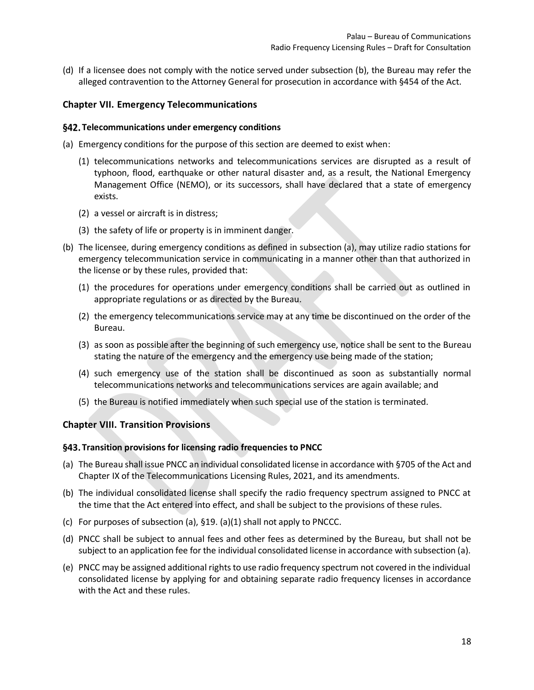(d) If a licensee does not comply with the notice served under subsection (b), the Bureau may refer the alleged contravention to the Attorney General for prosecution in accordance with §454 of the Act.

#### <span id="page-17-0"></span>**Chapter VII. Emergency Telecommunications**

#### <span id="page-17-1"></span>**Telecommunications under emergency conditions**

(a) Emergency conditions for the purpose of this section are deemed to exist when:

- (1) telecommunications networks and telecommunications services are disrupted as a result of typhoon, flood, earthquake or other natural disaster and, as a result, the National Emergency Management Office (NEMO), or its successors, shall have declared that a state of emergency exists.
- (2) a vessel or aircraft is in distress;
- (3) the safety of life or property is in imminent danger.
- (b) The licensee, during emergency conditions as defined in subsection (a), may utilize radio stations for emergency telecommunication service in communicating in a manner other than that authorized in the license or by these rules, provided that:
	- (1) the procedures for operations under emergency conditions shall be carried out as outlined in appropriate regulations or as directed by the Bureau.
	- (2) the emergency telecommunications service may at any time be discontinued on the order of the Bureau.
	- (3) as soon as possible after the beginning of such emergency use, notice shall be sent to the Bureau stating the nature of the emergency and the emergency use being made of the station;
	- (4) such emergency use of the station shall be discontinued as soon as substantially normal telecommunications networks and telecommunications services are again available; and
	- (5) the Bureau is notified immediately when such special use of the station is terminated.

#### <span id="page-17-2"></span>**Chapter VIII. Transition Provisions**

#### <span id="page-17-3"></span>**Transition provisions for licensing radio frequencies to PNCC**

- (a) The Bureau shall issue PNCC an individual consolidated license in accordance with §705 of the Act and Chapter IX of the Telecommunications Licensing Rules, 2021, and its amendments.
- (b) The individual consolidated license shall specify the radio frequency spectrum assigned to PNCC at the time that the Act entered into effect, and shall be subject to the provisions of these rules.
- (c) For purposes of subsection (a), §19. (a)(1) shall not apply to PNCCC.
- (d) PNCC shall be subject to annual fees and other fees as determined by the Bureau, but shall not be subject to an application fee for the individual consolidated license in accordance with subsection (a).
- (e) PNCC may be assigned additional rights to use radio frequency spectrum not covered in the individual consolidated license by applying for and obtaining separate radio frequency licenses in accordance with the Act and these rules.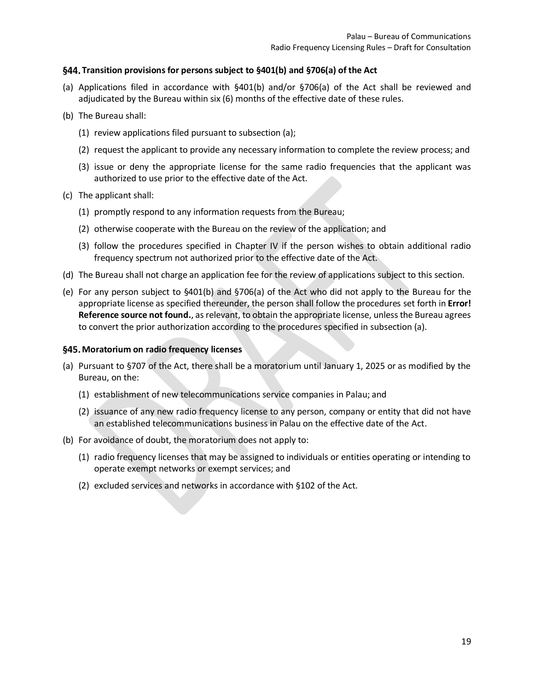## <span id="page-18-0"></span>**Transition provisions for persons subject to §401(b) and §706(a) of the Act**

- (a) Applications filed in accordance with §401(b) and/or §706(a) of the Act shall be reviewed and adjudicated by the Bureau within six (6) months of the effective date of these rules.
- (b) The Bureau shall:
	- (1) review applications filed pursuant to subsection (a);
	- (2) request the applicant to provide any necessary information to complete the review process; and
	- (3) issue or deny the appropriate license for the same radio frequencies that the applicant was authorized to use prior to the effective date of the Act.
- (c) The applicant shall:
	- (1) promptly respond to any information requests from the Bureau;
	- (2) otherwise cooperate with the Bureau on the review of the application; and
	- (3) follow the procedures specified in [Chapter IV](#page-7-2) if the person wishes to obtain additional radio frequency spectrum not authorized prior to the effective date of the Act.
- (d) The Bureau shall not charge an application fee for the review of applications subject to this section.
- (e) For any person subject to §401(b) and §706(a) of the Act who did not apply to the Bureau for the appropriate license as specified thereunder, the person shall follow the procedures set forth in **Error! Reference source not found.**, as relevant, to obtain the appropriate license, unless the Bureau agrees to convert the prior authorization according to the procedures specified in subsection (a).

#### <span id="page-18-1"></span>**Moratorium on radio frequency licenses**

- (a) Pursuant to §707 of the Act, there shall be a moratorium until January 1, 2025 or as modified by the Bureau, on the:
	- (1) establishment of new telecommunications service companies in Palau; and
	- (2) issuance of any new radio frequency license to any person, company or entity that did not have an established telecommunications business in Palau on the effective date of the Act.
- (b) For avoidance of doubt, the moratorium does not apply to:
	- (1) radio frequency licenses that may be assigned to individuals or entities operating or intending to operate exempt networks or exempt services; and
	- (2) excluded services and networks in accordance with §102 of the Act.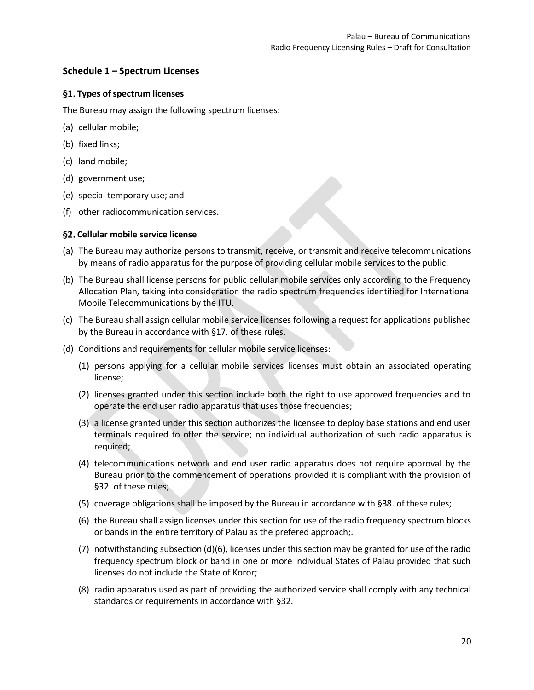## <span id="page-19-0"></span>**Schedule 1 – Spectrum Licenses**

## <span id="page-19-1"></span>**Types of spectrum licenses**

The Bureau may assign the following spectrum licenses:

- (a) cellular mobile;
- (b) fixed links;
- (c) land mobile;
- (d) government use;
- (e) special temporary use; and
- (f) other radiocommunication services.

#### <span id="page-19-2"></span>**Cellular mobile service license**

- (a) The Bureau may authorize persons to transmit, receive, or transmit and receive telecommunications by means of radio apparatus for the purpose of providing cellular mobile services to the public.
- (b) The Bureau shall license persons for public cellular mobile services only according to the Frequency Allocation Plan, taking into consideration the radio spectrum frequencies identified for International Mobile Telecommunications by the ITU.
- (c) The Bureau shall assign cellular mobile service licenses following a request for applications published by the Bureau in accordance with §17. of these rules.
- (d) Conditions and requirements for cellular mobile service licenses:
	- (1) persons applying for a cellular mobile services licenses must obtain an associated operating license;
	- (2) licenses granted under this section include both the right to use approved frequencies and to operate the end user radio apparatus that uses those frequencies;
	- (3) a license granted under this section authorizes the licensee to deploy base stations and end user terminals required to offer the service; no individual authorization of such radio apparatus is required;
	- (4) telecommunications network and end user radio apparatus does not require approval by the Bureau prior to the commencement of operations provided it is compliant with the provision of §32. of these rules;
	- (5) coverage obligations shall be imposed by the Bureau in accordance with §38. of these rules;
	- (6) the Bureau shall assign licenses under this section for use of the radio frequency spectrum blocks or bands in the entire territory of Palau as the prefered approach;.
	- (7) notwithstanding subsection (d)(6), licenses under this section may be granted for use of the radio frequency spectrum block or band in one or more individual States of Palau provided that such licenses do not include the State of Koror;
	- (8) radio apparatus used as part of providing the authorized service shall comply with any technical standards or requirements in accordance with §32.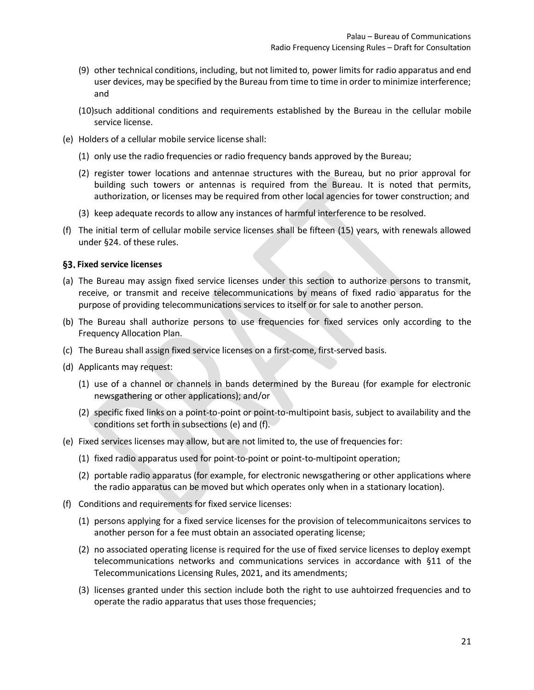- (9) other technical conditions, including, but not limited to, power limits for radio apparatus and end user devices, may be specified by the Bureau from time to time in order to minimize interference; and
- (10)such additional conditions and requirements established by the Bureau in the cellular mobile service license.
- (e) Holders of a cellular mobile service license shall:
	- (1) only use the radio frequencies or radio frequency bands approved by the Bureau;
	- (2) register tower locations and antennae structures with the Bureau, but no prior approval for building such towers or antennas is required from the Bureau. It is noted that permits, authorization, or licenses may be required from other local agencies for tower construction; and
	- (3) keep adequate records to allow any instances of harmful interference to be resolved.
- (f) The initial term of cellular mobile service licenses shall be fifteen (15) years, with renewals allowed under §24. of these rules.

#### <span id="page-20-0"></span>**Fixed service licenses**

- (a) The Bureau may assign fixed service licenses under this section to authorize persons to transmit, receive, or transmit and receive telecommunications by means of fixed radio apparatus for the purpose of providing telecommunications services to itself or for sale to another person.
- (b) The Bureau shall authorize persons to use frequencies for fixed services only according to the Frequency Allocation Plan.
- (c) The Bureau shall assign fixed service licenses on a first-come, first-served basis.
- (d) Applicants may request:
	- (1) use of a channel or channels in bands determined by the Bureau (for example for electronic newsgathering or other applications); and/or
	- (2) specific fixed links on a point-to-point or point-to-multipoint basis, subject to availability and the conditions set forth in subsections (e) and (f).
- (e) Fixed services licenses may allow, but are not limited to, the use of frequencies for:
	- (1) fixed radio apparatus used for point-to-point or point-to-multipoint operation;
	- (2) portable radio apparatus (for example, for electronic newsgathering or other applications where the radio apparatus can be moved but which operates only when in a stationary location).
- (f) Conditions and requirements for fixed service licenses:
	- (1) persons applying for a fixed service licenses for the provision of telecommunicaitons services to another person for a fee must obtain an associated operating license;
	- (2) no associated operating license is required for the use of fixed service licenses to deploy exempt telecommunications networks and communications services in accordance with §11 of the Telecommunications Licensing Rules, 2021, and its amendments;
	- (3) licenses granted under this section include both the right to use auhtoirzed frequencies and to operate the radio apparatus that uses those frequencies;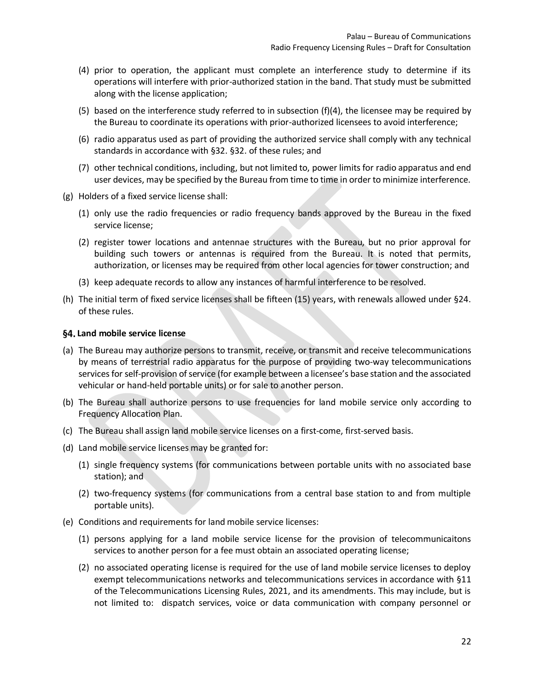- (4) prior to operation, the applicant must complete an interference study to determine if its operations will interfere with prior-authorized station in the band. That study must be submitted along with the license application;
- (5) based on the interference study referred to in subsection (f)(4), the licensee may be required by the Bureau to coordinate its operations with prior-authorized licensees to avoid interference;
- (6) radio apparatus used as part of providing the authorized service shall comply with any technical standards in accordance with §32. §32. of these rules; and
- (7) other technical conditions, including, but not limited to, power limits for radio apparatus and end user devices, may be specified by the Bureau from time to time in order to minimize interference.
- (g) Holders of a fixed service license shall:
	- (1) only use the radio frequencies or radio frequency bands approved by the Bureau in the fixed service license;
	- (2) register tower locations and antennae structures with the Bureau, but no prior approval for building such towers or antennas is required from the Bureau. It is noted that permits, authorization, or licenses may be required from other local agencies for tower construction; and
	- (3) keep adequate records to allow any instances of harmful interference to be resolved.
- (h) The initial term of fixed service licenses shall be fifteen (15) years, with renewals allowed under §24. of these rules.

#### <span id="page-21-0"></span>**Land mobile service license**

- (a) The Bureau may authorize persons to transmit, receive, or transmit and receive telecommunications by means of terrestrial radio apparatus for the purpose of providing two-way telecommunications services for self-provision of service (for example between a licensee's base station and the associated vehicular or hand-held portable units) or for sale to another person.
- (b) The Bureau shall authorize persons to use frequencies for land mobile service only according to Frequency Allocation Plan.
- (c) The Bureau shall assign land mobile service licenses on a first-come, first-served basis.
- (d) Land mobile service licenses may be granted for:
	- (1) single frequency systems (for communications between portable units with no associated base station); and
	- (2) two-frequency systems (for communications from a central base station to and from multiple portable units).
- (e) Conditions and requirements for land mobile service licenses:
	- (1) persons applying for a land mobile service license for the provision of telecommunicaitons services to another person for a fee must obtain an associated operating license;
	- (2) no associated operating license is required for the use of land mobile service licenses to deploy exempt telecommunications networks and telecommunications services in accordance with §11 of the Telecommunications Licensing Rules, 2021, and its amendments. This may include, but is not limited to: dispatch services, voice or data communication with company personnel or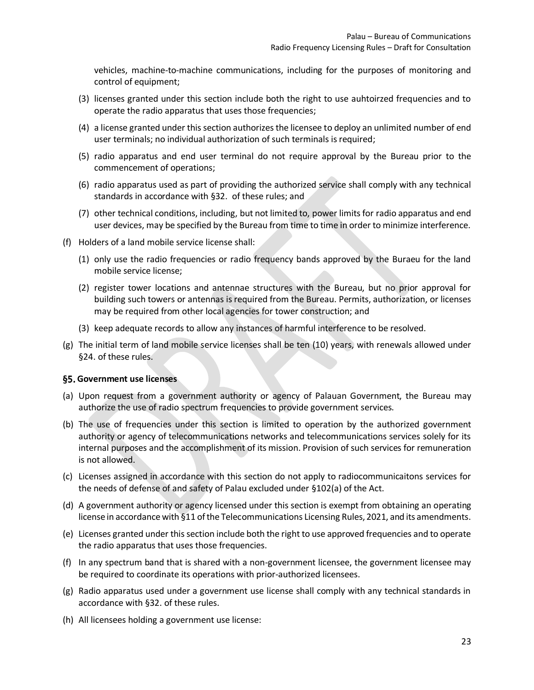vehicles, machine-to-machine communications, including for the purposes of monitoring and control of equipment;

- (3) licenses granted under this section include both the right to use auhtoirzed frequencies and to operate the radio apparatus that uses those frequencies;
- (4) a license granted under this section authorizes the licensee to deploy an unlimited number of end user terminals; no individual authorization of such terminals is required;
- (5) radio apparatus and end user terminal do not require approval by the Bureau prior to the commencement of operations;
- (6) radio apparatus used as part of providing the authorized service shall comply with any technical standards in accordance with §32. of these rules; and
- (7) other technical conditions, including, but not limited to, power limits for radio apparatus and end user devices, may be specified by the Bureau from time to time in order to minimize interference.
- (f) Holders of a land mobile service license shall:
	- (1) only use the radio frequencies or radio frequency bands approved by the Buraeu for the land mobile service license;
	- (2) register tower locations and antennae structures with the Bureau, but no prior approval for building such towers or antennas is required from the Bureau. Permits, authorization, or licenses may be required from other local agencies for tower construction; and
	- (3) keep adequate records to allow any instances of harmful interference to be resolved.
- (g) The initial term of land mobile service licenses shall be ten (10) years, with renewals allowed under §24. of these rules.

#### <span id="page-22-0"></span>**Government use licenses**

- (a) Upon request from a government authority or agency of Palauan Government, the Bureau may authorize the use of radio spectrum frequencies to provide government services.
- (b) The use of frequencies under this section is limited to operation by the authorized government authority or agency of telecommunications networks and telecommunications services solely for its internal purposes and the accomplishment of its mission. Provision of such services for remuneration is not allowed.
- (c) Licenses assigned in accordance with this section do not apply to radiocommunicaitons services for the needs of defense of and safety of Palau excluded under §102(a) of the Act.
- (d) A government authority or agency licensed under this section is exempt from obtaining an operating license in accordance with §11 of the Telecommunications Licensing Rules, 2021, and its amendments.
- (e) Licenses granted under this section include both the right to use approved frequencies and to operate the radio apparatus that uses those frequencies.
- (f) In any spectrum band that is shared with a non-government licensee, the government licensee may be required to coordinate its operations with prior-authorized licensees.
- (g) Radio apparatus used under a government use license shall comply with any technical standards in accordance with §32. of these rules.
- (h) All licensees holding a government use license: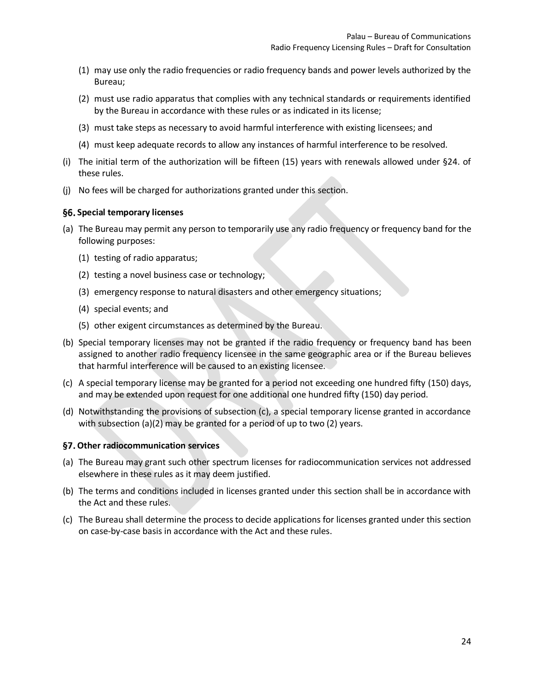- (1) may use only the radio frequencies or radio frequency bands and power levels authorized by the Bureau;
- (2) must use radio apparatus that complies with any technical standards or requirements identified by the Bureau in accordance with these rules or as indicated in its license;
- (3) must take steps as necessary to avoid harmful interference with existing licensees; and
- (4) must keep adequate records to allow any instances of harmful interference to be resolved.
- (i) The initial term of the authorization will be fifteen (15) years with renewals allowed under §24. of these rules.
- (j) No fees will be charged for authorizations granted under this section.

#### <span id="page-23-0"></span>**Special temporary licenses**

- (a) The Bureau may permit any person to temporarily use any radio frequency or frequency band for the following purposes:
	- (1) testing of radio apparatus;
	- (2) testing a novel business case or technology;
	- (3) emergency response to natural disasters and other emergency situations;
	- (4) special events; and
	- (5) other exigent circumstances as determined by the Bureau.
- (b) Special temporary licenses may not be granted if the radio frequency or frequency band has been assigned to another radio frequency licensee in the same geographic area or if the Bureau believes that harmful interference will be caused to an existing licensee.
- (c) A special temporary license may be granted for a period not exceeding one hundred fifty (150) days, and may be extended upon request for one additional one hundred fifty (150) day period.
- (d) Notwithstanding the provisions of subsection (c), a special temporary license granted in accordance with subsection (a)(2) may be granted for a period of up to two (2) years.

#### <span id="page-23-1"></span>**Other radiocommunication services**

- (a) The Bureau may grant such other spectrum licenses for radiocommunication services not addressed elsewhere in these rules as it may deem justified.
- (b) The terms and conditions included in licenses granted under this section shall be in accordance with the Act and these rules.
- (c) The Bureau shall determine the process to decide applications for licenses granted under this section on case-by-case basis in accordance with the Act and these rules.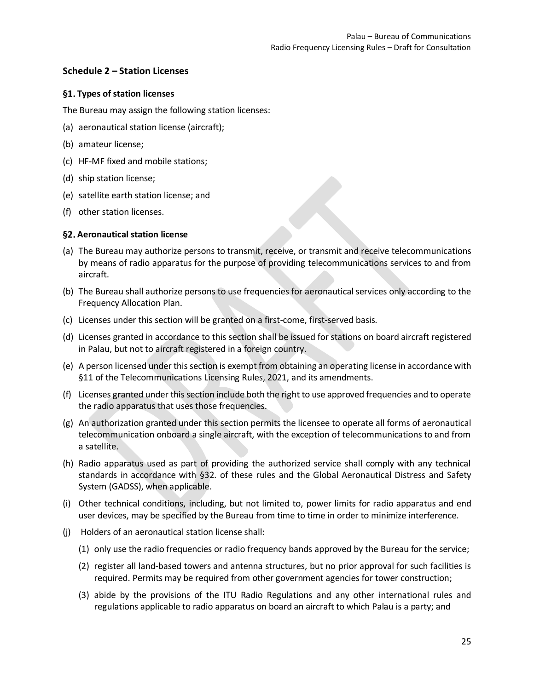## <span id="page-24-0"></span>**Schedule 2 – Station Licenses**

## <span id="page-24-1"></span>**Types of station licenses**

The Bureau may assign the following station licenses:

- (a) aeronautical station license (aircraft);
- (b) amateur license;
- (c) HF-MF fixed and mobile stations;
- (d) ship station license;
- (e) satellite earth station license; and
- (f) other station licenses.

## <span id="page-24-2"></span>**Aeronautical station license**

- (a) The Bureau may authorize persons to transmit, receive, or transmit and receive telecommunications by means of radio apparatus for the purpose of providing telecommunications services to and from aircraft.
- (b) The Bureau shall authorize persons to use frequencies for aeronautical services only according to the Frequency Allocation Plan.
- (c) Licenses under this section will be granted on a first-come, first-served basis.
- (d) Licenses granted in accordance to this section shall be issued for stations on board aircraft registered in Palau, but not to aircraft registered in a foreign country.
- (e) A person licensed under this section is exempt from obtaining an operating license in accordance with §11 of the Telecommunications Licensing Rules, 2021, and its amendments.
- (f) Licenses granted under this section include both the right to use approved frequencies and to operate the radio apparatus that uses those frequencies.
- (g) An authorization granted under this section permits the licensee to operate all forms of aeronautical telecommunication onboard a single aircraft, with the exception of telecommunications to and from a satellite.
- (h) Radio apparatus used as part of providing the authorized service shall comply with any technical standards in accordance with §32. of these rules and the Global Aeronautical Distress and Safety System (GADSS), when applicable.
- (i) Other technical conditions, including, but not limited to, power limits for radio apparatus and end user devices, may be specified by the Bureau from time to time in order to minimize interference.
- (j) Holders of an aeronautical station license shall:
	- (1) only use the radio frequencies or radio frequency bands approved by the Bureau for the service;
	- (2) register all land-based towers and antenna structures, but no prior approval for such facilities is required. Permits may be required from other government agencies for tower construction;
	- (3) abide by the provisions of the ITU Radio Regulations and any other international rules and regulations applicable to radio apparatus on board an aircraft to which Palau is a party; and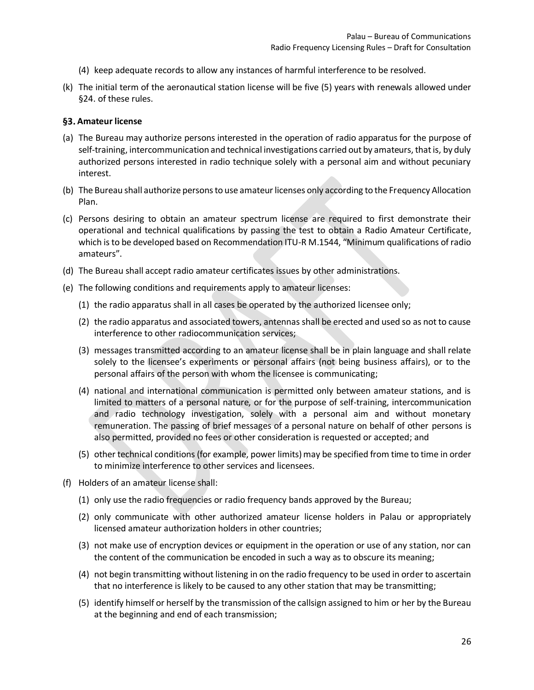- (4) keep adequate records to allow any instances of harmful interference to be resolved.
- (k) The initial term of the aeronautical station license will be five (5) years with renewals allowed under §24. of these rules.

#### <span id="page-25-0"></span>**Amateur license**

- (a) The Bureau may authorize persons interested in the operation of radio apparatus for the purpose of self-training, intercommunication and technical investigations carried out by amateurs, that is, by duly authorized persons interested in radio technique solely with a personal aim and without pecuniary interest.
- (b) The Bureau shall authorize persons to use amateur licenses only according to the Frequency Allocation Plan.
- (c) Persons desiring to obtain an amateur spectrum license are required to first demonstrate their operational and technical qualifications by passing the test to obtain a Radio Amateur Certificate, which is to be developed based on Recommendation ITU-R M.1544, "Minimum qualifications of radio amateurs".
- (d) The Bureau shall accept radio amateur certificates issues by other administrations.
- (e) The following conditions and requirements apply to amateur licenses:
	- (1) the radio apparatus shall in all cases be operated by the authorized licensee only;
	- (2) the radio apparatus and associated towers, antennas shall be erected and used so as not to cause interference to other radiocommunication services;
	- (3) messages transmitted according to an amateur license shall be in plain language and shall relate solely to the licensee's experiments or personal affairs (not being business affairs), or to the personal affairs of the person with whom the licensee is communicating;
	- (4) national and international communication is permitted only between amateur stations, and is limited to matters of a personal nature, or for the purpose of self-training, intercommunication and radio technology investigation, solely with a personal aim and without monetary remuneration. The passing of brief messages of a personal nature on behalf of other persons is also permitted, provided no fees or other consideration is requested or accepted; and
	- (5) other technical conditions (for example, power limits) may be specified from time to time in order to minimize interference to other services and licensees.
- (f) Holders of an amateur license shall:
	- (1) only use the radio frequencies or radio frequency bands approved by the Bureau;
	- (2) only communicate with other authorized amateur license holders in Palau or appropriately licensed amateur authorization holders in other countries;
	- (3) not make use of encryption devices or equipment in the operation or use of any station, nor can the content of the communication be encoded in such a way as to obscure its meaning;
	- (4) not begin transmitting without listening in on the radio frequency to be used in order to ascertain that no interference is likely to be caused to any other station that may be transmitting;
	- (5) identify himself or herself by the transmission of the callsign assigned to him or her by the Bureau at the beginning and end of each transmission;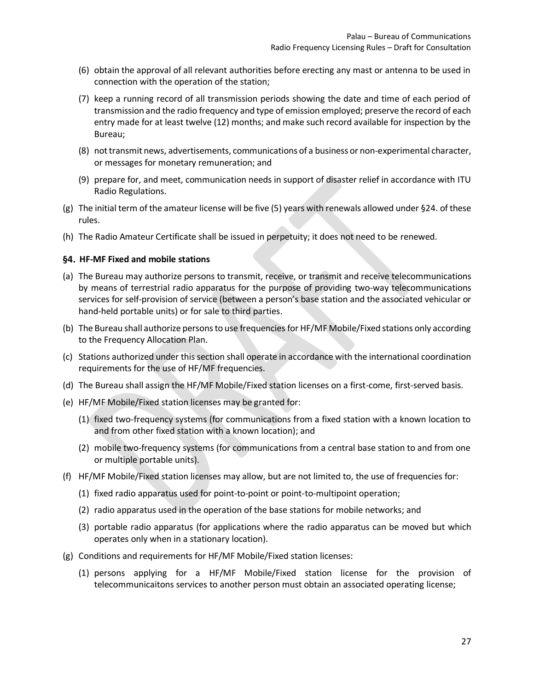- (6) obtain the approval of all relevant authorities before erecting any mast or antenna to be used in connection with the operation of the station;
- (7) keep a running record of all transmission periods showing the date and time of each period of transmission and the radio frequency and type of emission employed; preserve the record of each entry made for at least twelve (12) months; and make such record available for inspection by the Bureau;
- (8) not transmit news, advertisements, communications of a business or non-experimental character, or messages for monetary remuneration; and
- (9) prepare for, and meet, communication needs in support of disaster relief in accordance with ITU Radio Regulations.
- (g) The initial term of the amateur license will be five (5) years with renewals allowed under §24. of these rules.
- (h) The Radio Amateur Certificate shall be issued in perpetuity; it does not need to be renewed.

#### <span id="page-26-0"></span>**HF-MF Fixed and mobile stations**

- (a) The Bureau may authorize persons to transmit, receive, or transmit and receive telecommunications by means of terrestrial radio apparatus for the purpose of providing two-way telecommunications services for self-provision of service (between a person's base station and the associated vehicular or hand-held portable units) or for sale to third parties.
- (b) The Bureau shall authorize persons to use frequencies for HF/MF Mobile/Fixed stations only according to the Frequency Allocation Plan.
- (c) Stations authorized under this section shall operate in accordance with the international coordination requirements for the use of HF/MF frequencies.
- (d) The Bureau shall assign the HF/MF Mobile/Fixed station licenses on a first-come, first-served basis.
- (e) HF/MF Mobile/Fixed station licenses may be granted for:
	- (1) fixed two-frequency systems (for communications from a fixed station with a known location to and from other fixed station with a known location); and
	- (2) mobile two-frequency systems (for communications from a central base station to and from one or multiple portable units).
- (f) HF/MF Mobile/Fixed station licenses may allow, but are not limited to, the use of frequencies for:
	- (1) fixed radio apparatus used for point-to-point or point-to-multipoint operation;
	- (2) radio apparatus used in the operation of the base stations for mobile networks; and
	- (3) portable radio apparatus (for applications where the radio apparatus can be moved but which operates only when in a stationary location).
- (g) Conditions and requirements for HF/MF Mobile/Fixed station licenses:
	- (1) persons applying for a HF/MF Mobile/Fixed station license for the provision of telecommunicaitons services to another person must obtain an associated operating license;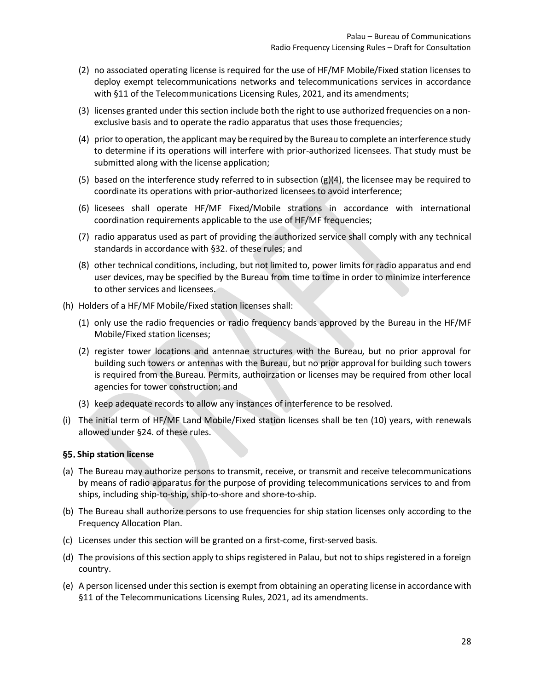- (2) no associated operating license is required for the use of HF/MF Mobile/Fixed station licenses to deploy exempt telecommunications networks and telecommunications services in accordance with §11 of the Telecommunications Licensing Rules, 2021, and its amendments;
- (3) licenses granted under this section include both the right to use authorized frequencies on a nonexclusive basis and to operate the radio apparatus that uses those frequencies;
- (4) prior to operation, the applicant may be required by the Bureau to complete an interference study to determine if its operations will interfere with prior-authorized licensees. That study must be submitted along with the license application;
- (5) based on the interference study referred to in subsection (g)(4), the licensee may be required to coordinate its operations with prior-authorized licensees to avoid interference;
- (6) licesees shall operate HF/MF Fixed/Mobile strations in accordance with international coordination requirements applicable to the use of HF/MF frequencies;
- (7) radio apparatus used as part of providing the authorized service shall comply with any technical standards in accordance with §32. of these rules; and
- (8) other technical conditions, including, but not limited to, power limits for radio apparatus and end user devices, may be specified by the Bureau from time to time in order to minimize interference to other services and licensees.
- (h) Holders of a HF/MF Mobile/Fixed station licenses shall:
	- (1) only use the radio frequencies or radio frequency bands approved by the Bureau in the HF/MF Mobile/Fixed station licenses;
	- (2) register tower locations and antennae structures with the Bureau, but no prior approval for building such towers or antennas with the Bureau, but no prior approval for building such towers is required from the Bureau. Permits, authoirzation or licenses may be required from other local agencies for tower construction; and
	- (3) keep adequate records to allow any instances of interference to be resolved.
- (i) The initial term of HF/MF Land Mobile/Fixed station licenses shall be ten (10) years, with renewals allowed under §24. of these rules.

#### <span id="page-27-0"></span>**Ship station license**

- (a) The Bureau may authorize persons to transmit, receive, or transmit and receive telecommunications by means of radio apparatus for the purpose of providing telecommunications services to and from ships, including ship-to-ship, ship-to-shore and shore-to-ship.
- (b) The Bureau shall authorize persons to use frequencies for ship station licenses only according to the Frequency Allocation Plan.
- (c) Licenses under this section will be granted on a first-come, first-served basis.
- (d) The provisions of this section apply to ships registered in Palau, but not to ships registered in a foreign country.
- (e) A person licensed under this section is exempt from obtaining an operating license in accordance with §11 of the Telecommunications Licensing Rules, 2021, ad its amendments.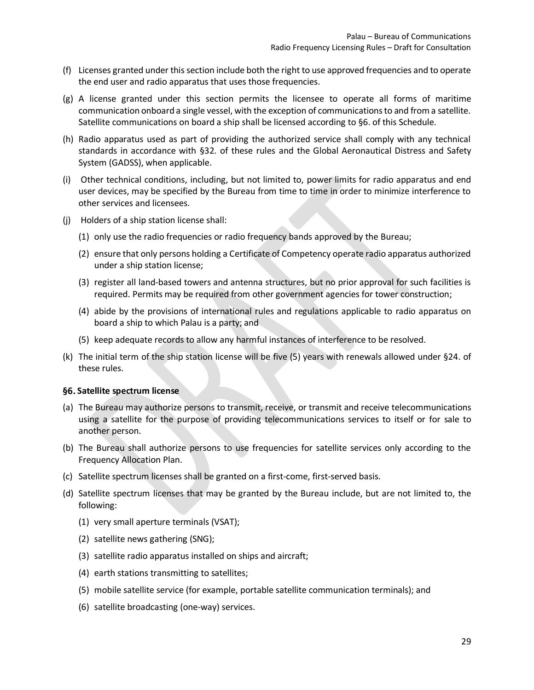- (f) Licenses granted under this section include both the right to use approved frequencies and to operate the end user and radio apparatus that uses those frequencies.
- (g) A license granted under this section permits the licensee to operate all forms of maritime communication onboard a single vessel, with the exception of communications to and from a satellite. Satellite communications on board a ship shall be licensed according to §6. of this Schedule.
- (h) Radio apparatus used as part of providing the authorized service shall comply with any technical standards in accordance with §32. of these rules and the Global Aeronautical Distress and Safety System (GADSS), when applicable.
- (i) Other technical conditions, including, but not limited to, power limits for radio apparatus and end user devices, may be specified by the Bureau from time to time in order to minimize interference to other services and licensees.
- (j) Holders of a ship station license shall:
	- (1) only use the radio frequencies or radio frequency bands approved by the Bureau;
	- (2) ensure that only persons holding a Certificate of Competency operate radio apparatus authorized under a ship station license;
	- (3) register all land-based towers and antenna structures, but no prior approval for such facilities is required. Permits may be required from other government agencies for tower construction;
	- (4) abide by the provisions of international rules and regulations applicable to radio apparatus on board a ship to which Palau is a party; and
	- (5) keep adequate records to allow any harmful instances of interference to be resolved.
- (k) The initial term of the ship station license will be five (5) years with renewals allowed under §24. of these rules.

#### <span id="page-28-0"></span>**Satellite spectrum license**

- (a) The Bureau may authorize persons to transmit, receive, or transmit and receive telecommunications using a satellite for the purpose of providing telecommunications services to itself or for sale to another person.
- (b) The Bureau shall authorize persons to use frequencies for satellite services only according to the Frequency Allocation Plan.
- (c) Satellite spectrum licenses shall be granted on a first-come, first-served basis.
- (d) Satellite spectrum licenses that may be granted by the Bureau include, but are not limited to, the following:
	- (1) very small aperture terminals (VSAT);
	- (2) satellite news gathering (SNG);
	- (3) satellite radio apparatus installed on ships and aircraft;
	- (4) earth stations transmitting to satellites;
	- (5) mobile satellite service (for example, portable satellite communication terminals); and
	- (6) satellite broadcasting (one-way) services.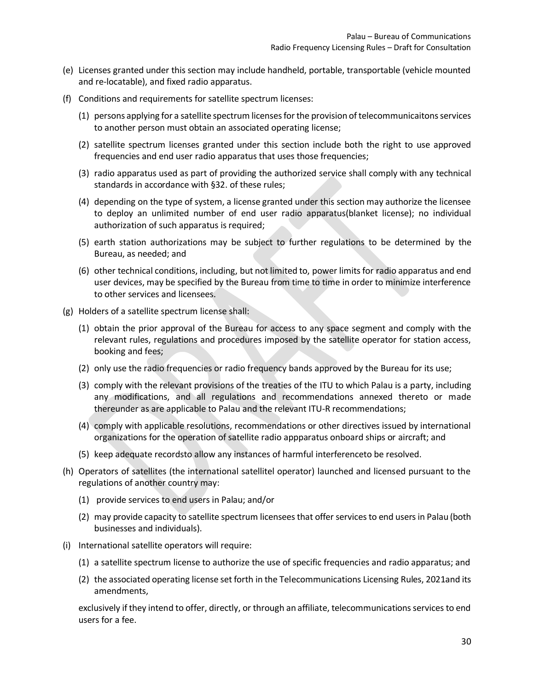- (e) Licenses granted under this section may include handheld, portable, transportable (vehicle mounted and re-locatable), and fixed radio apparatus.
- (f) Conditions and requirements for satellite spectrum licenses:
	- (1) persons applying for a satellite spectrum licenses for the provision of telecommunicaitons services to another person must obtain an associated operating license;
	- (2) satellite spectrum licenses granted under this section include both the right to use approved frequencies and end user radio apparatus that uses those frequencies;
	- (3) radio apparatus used as part of providing the authorized service shall comply with any technical standards in accordance with §32. of these rules;
	- (4) depending on the type of system, a license granted under this section may authorize the licensee to deploy an unlimited number of end user radio apparatus(blanket license); no individual authorization of such apparatus is required;
	- (5) earth station authorizations may be subject to further regulations to be determined by the Bureau, as needed; and
	- (6) other technical conditions, including, but not limited to, power limits for radio apparatus and end user devices, may be specified by the Bureau from time to time in order to minimize interference to other services and licensees.
- (g) Holders of a satellite spectrum license shall:
	- (1) obtain the prior approval of the Bureau for access to any space segment and comply with the relevant rules, regulations and procedures imposed by the satellite operator for station access, booking and fees;
	- (2) only use the radio frequencies or radio frequency bands approved by the Bureau for its use;
	- (3) comply with the relevant provisions of the treaties of the ITU to which Palau is a party, including any modifications, and all regulations and recommendations annexed thereto or made thereunder as are applicable to Palau and the relevant ITU-R recommendations;
	- (4) comply with applicable resolutions, recommendations or other directives issued by international organizations for the operation of satellite radio appparatus onboard ships or aircraft; and
	- (5) keep adequate recordsto allow any instances of harmful interferenceto be resolved.
- (h) Operators of satellites (the international satellitel operator) launched and licensed pursuant to the regulations of another country may:
	- (1) provide services to end users in Palau; and/or
	- (2) may provide capacity to satellite spectrum licensees that offer services to end usersin Palau (both businesses and individuals).
- (i) International satellite operators will require:
	- (1) a satellite spectrum license to authorize the use of specific frequencies and radio apparatus; and
	- (2) the associated operating license set forth in the Telecommunications Licensing Rules, 2021and its amendments,

exclusively if they intend to offer, directly, or through an affiliate, telecommunications services to end users for a fee.